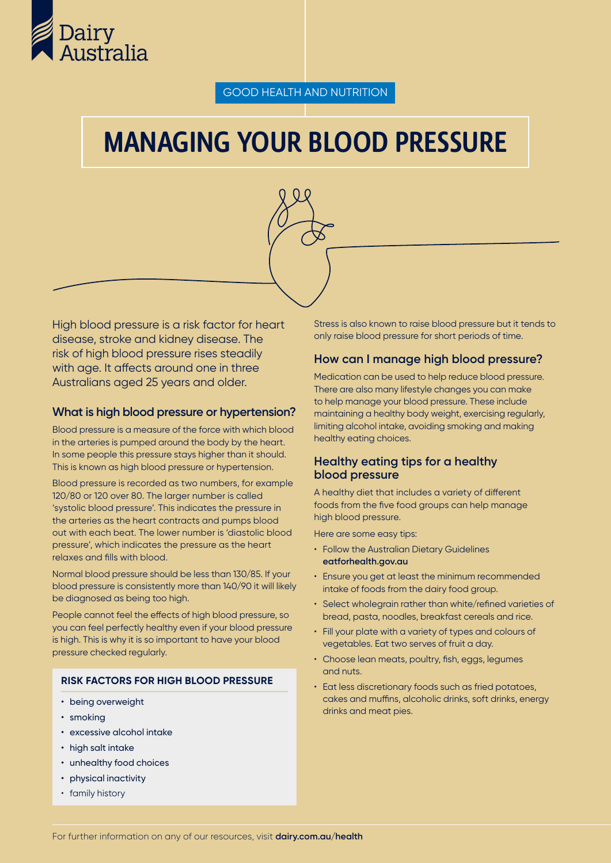

GOOD HEALTH AND NUTRITION

# MANAGING YOUR BLOOD PRESSURE



High blood pressure is a risk factor for heart disease, stroke and kidney disease. The risk of high blood pressure rises steadily with age. It affects around one in three Australians aged 25 years and older.

#### **What is high blood pressure or hypertension?**

Blood pressure is a measure of the force with which blood in the arteries is pumped around the body by the heart. In some people this pressure stays higher than it should. This is known as high blood pressure or hypertension.

Blood pressure is recorded as two numbers, for example 120/80 or 120 over 80. The larger number is called 'systolic blood pressure'. This indicates the pressure in the arteries as the heart contracts and pumps blood out with each beat. The lower number is 'diastolic blood pressure', which indicates the pressure as the heart relaxes and fills with blood.

Normal blood pressure should be less than 130/85. If your blood pressure is consistently more than 140/90 it will likely be diagnosed as being too high.

People cannot feel the effects of high blood pressure, so you can feel perfectly healthy even if your blood pressure is high. This is why it is so important to have your blood pressure checked regularly.

#### **RISK FACTORS FOR HIGH BLOOD PRESSURE**

- being overweight
- smoking
- excessive alcohol intake
- high salt intake
- unhealthy food choices
- physical inactivity
- family history

Stress is also known to raise blood pressure but it tends to only raise blood pressure for short periods of time.

#### **How can I manage high blood pressure?**

Medication can be used to help reduce blood pressure. There are also many lifestyle changes you can make to help manage your blood pressure. These include maintaining a healthy body weight, exercising regularly, limiting alcohol intake, avoiding smoking and making healthy eating choices.

### **Healthy eating tips for a healthy blood pressure**

A healthy diet that includes a variety of different foods from the five food groups can help manage high blood pressure.

Here are some easy tips:

- Follow the Australian Dietary Guidelines **[eatforhealth.gov.au](http://www.eatforhealth.gov.au)**
- Ensure you get at least the minimum recommended intake of foods from the dairy food group.
- Select wholegrain rather than white/refined varieties of bread, pasta, noodles, breakfast cereals and rice.
- Fill your plate with a variety of types and colours of vegetables. Eat two serves of fruit a day.
- Choose lean meats, poultry, fish, eggs, legumes and nuts.
- Eat less discretionary foods such as fried potatoes, cakes and muffins, alcoholic drinks, soft drinks, energy drinks and meat pies.